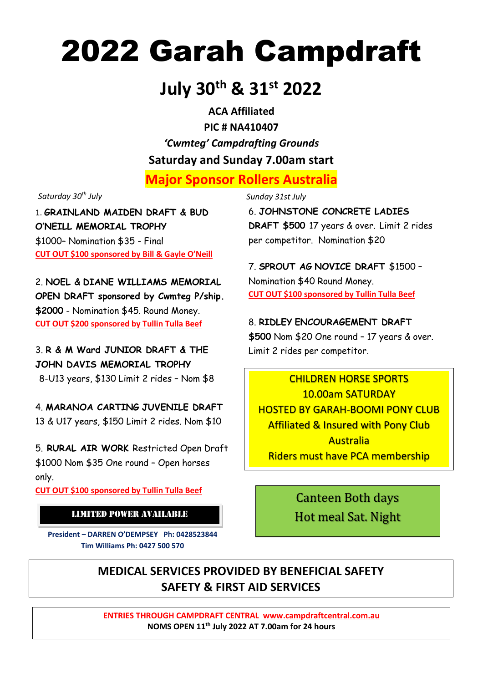# 2022 Garah Campdraft

# **July 30th & 31st 2022**

**ACA Affiliated PIC # NA410407** *'Cwmteg' Campdrafting Grounds* **Saturday and Sunday 7.00am start**

**Major Sponsor Rollers Australia**

*Saturday 30th July Sunday 31st July*

1. **GRAINLAND MAIDEN DRAFT & BUD O'NEILL MEMORIAL TROPHY** \$1000– Nomination \$35 - Final **CUT OUT \$100 sponsored by Bill & Gayle O'Neill**

2. **NOEL & DIANE WILLIAMS MEMORIAL OPEN DRAFT sponsored by Cwmteg P/ship. \$2000** - Nomination \$45. Round Money. **CUT OUT \$200 sponsored by Tullin Tulla Beef**

3. **R & M Ward JUNIOR DRAFT & THE JOHN DAVIS MEMORIAL TROPHY**

8-U13 years, \$130 Limit 2 rides – Nom \$8

4. **MARANOA CARTING JUVENILE DRAFT**  13 & U17 years, \$150 Limit 2 rides. Nom \$10

5. **RURAL AIR WORK** Restricted Open Draft \$1000 Nom \$35 One round – Open horses only.

**CUT OUT \$100 sponsored by Tullin Tulla Beef**

## LIMITED POWER AVAILABLE

**President – DARREN O'DEMPSEY Ph: 0428523844 Tim Williams Ph: 0427 500 570**

6. **JOHNSTONE CONCRETE LADIES DRAFT \$500** 17 years & over. Limit 2 rides per competitor. Nomination \$20

7. **SPROUT AG NOVICE DRAFT** \$1500 – Nomination \$40 Round Money. **CUT OUT \$100 sponsored by Tullin Tulla Beef**

## 8. **RIDLEY ENCOURAGEMENT DRAFT**

**\$500** Nom \$20 One round – 17 years & over. Limit 2 rides per competitor.

CHILDREN HORSE SPORTS 10.00am SATURDAY HOSTED BY GARAH-BOOMI PONY CLUB Affiliated & Insured with Pony Club Australia Riders must have PCA membership

> Canteen Both days Hot meal Sat. Night

# **MEDICAL SERVICES PROVIDED BY BENEFICIAL SAFETY SAFETY & FIRST AID SERVICES**

**ENTRIES THROUGH CAMPDRAFT CENTRAL [www.campdraftcentral.com.au](http://www.campdraftcentral.com.au/) NOMS OPEN 11th July 2022 AT 7.00am for 24 hours**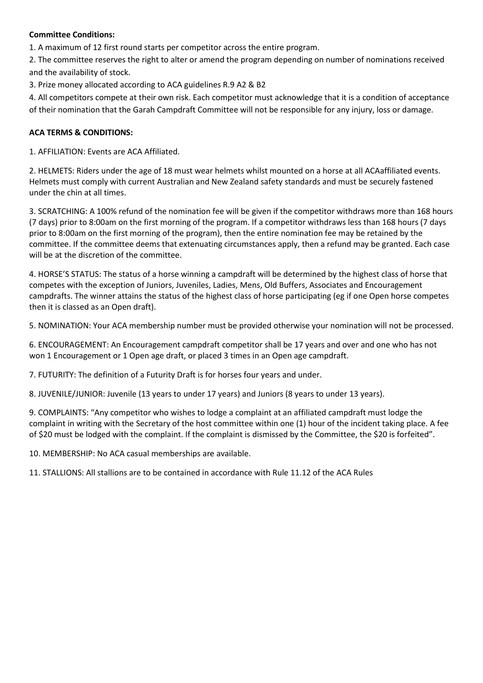#### **Committee Conditions:**

1. A maximum of 12 first round starts per competitor across the entire program.

2. The committee reserves the right to alter or amend the program depending on number of nominations received and the availability of stock.

3. Prize money allocated according to ACA guidelines R.9 A2 & B2

4. All competitors compete at their own risk. Each competitor must acknowledge that it is a condition of acceptance of their nomination that the Garah Campdraft Committee will not be responsible for any injury, loss or damage.

### **ACA TERMS & CONDITIONS:**

1. AFFILIATION: Events are ACA Affiliated.

2. HELMETS: Riders under the age of 18 must wear helmets whilst mounted on a horse at all ACAaffiliated events. Helmets must comply with current Australian and New Zealand safety standards and must be securely fastened under the chin at all times.

3. SCRATCHING: A 100% refund of the nomination fee will be given if the competitor withdraws more than 168 hours (7 days) prior to 8:00am on the first morning of the program. If a competitor withdraws less than 168 hours (7 days prior to 8:00am on the first morning of the program), then the entire nomination fee may be retained by the committee. If the committee deems that extenuating circumstances apply, then a refund may be granted. Each case will be at the discretion of the committee.

4. HORSE'S STATUS: The status of a horse winning a campdraft will be determined by the highest class of horse that competes with the exception of Juniors, Juveniles, Ladies, Mens, Old Buffers, Associates and Encouragement campdrafts. The winner attains the status of the highest class of horse participating (eg if one Open horse competes then it is classed as an Open draft).

5. NOMINATION: Your ACA membership number must be provided otherwise your nomination will not be processed.

6. ENCOURAGEMENT: An Encouragement campdraft competitor shall be 17 years and over and one who has not won 1 Encouragement or 1 Open age draft, or placed 3 times in an Open age campdraft.

7. FUTURITY: The definition of a Futurity Draft is for horses four years and under.

8. JUVENILE/JUNIOR: Juvenile (13 years to under 17 years) and Juniors (8 years to under 13 years).

9. COMPLAINTS: "Any competitor who wishes to lodge a complaint at an affiliated campdraft must lodge the complaint in writing with the Secretary of the host committee within one (1) hour of the incident taking place. A fee of \$20 must be lodged with the complaint. If the complaint is dismissed by the Committee, the \$20 is forfeited".

10. MEMBERSHIP: No ACA casual memberships are available.

11. STALLIONS: All stallions are to be contained in accordance with Rule 11.12 of the ACA Rules